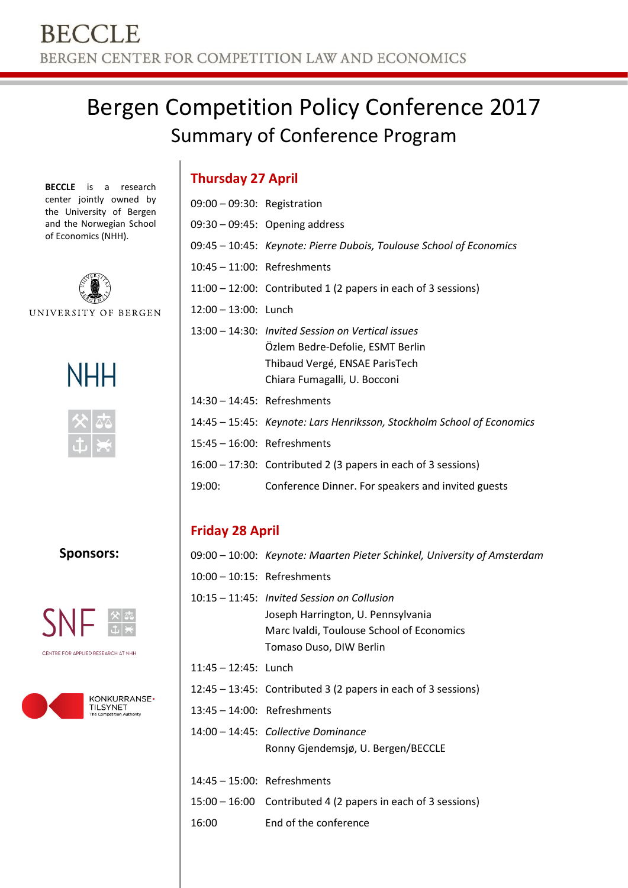# Bergen Competition Policy Conference 2017 Summary of Conference Program

**BECCLE** is a research center jointly owned by the University of Bergen and the Norwegian School of Economics (NHH).



UNIVERSITY OF BERGEN





**Sponsors:**



CENTRE FOR APPLIED RESEARCH AT NHH



| <b>Thursday 27 April</b>       |                                   |
|--------------------------------|-----------------------------------|
| $09:00 - 09:30$ : Registration |                                   |
|                                | $09:30 - 09:45$ : Opening address |

- 09:45 10:45: *Keynote: Pierre Dubois, Toulouse School of Economics*
- 10:45 11:00: Refreshments 11:00 – 12:00: Contributed 1 (2 papers in each of 3 sessions)
- 12:00 13:00: Lunch
- 13:00 14:30: *Invited Session on Vertical issues* Özlem Bedre-Defolie, ESMT Berlin Thibaud Vergé, ENSAE ParisTech Chiara Fumagalli, U. Bocconi
- 14:30 14:45: Refreshments
- 14:45 15:45: *Keynote: Lars Henriksson, Stockholm School of Economics*
- 15:45 16:00: Refreshments
- 16:00 17:30: Contributed 2 (3 papers in each of 3 sessions)
- 19:00: Conference Dinner. For speakers and invited guests

## **Friday 28 April**

|                                | 09:00 – 10:00: Keynote: Maarten Pieter Schinkel, University of Amsterdam                                                                                     |
|--------------------------------|--------------------------------------------------------------------------------------------------------------------------------------------------------------|
| $10:00 - 10:15$ : Refreshments |                                                                                                                                                              |
|                                | $10:15 - 11:45$ : Invited Session on Collusion<br>Joseph Harrington, U. Pennsylvania<br>Marc Ivaldi, Toulouse School of Economics<br>Tomaso Duso, DIW Berlin |
| $11:45 - 12:45$ : Lunch        |                                                                                                                                                              |
|                                | $12:45 - 13:45$ : Contributed 3 (2 papers in each of 3 sessions)                                                                                             |
| $13:45 - 14:00$ : Refreshments |                                                                                                                                                              |
|                                | 14:00 – 14:45: Collective Dominance<br>Ronny Gjendemsjø, U. Bergen/BECCLE                                                                                    |
| $14:45 - 15:00$ : Refreshments |                                                                                                                                                              |
|                                | 15:00 – 16:00 Contributed 4 (2 papers in each of 3 sessions)                                                                                                 |
| 16:00                          | End of the conference                                                                                                                                        |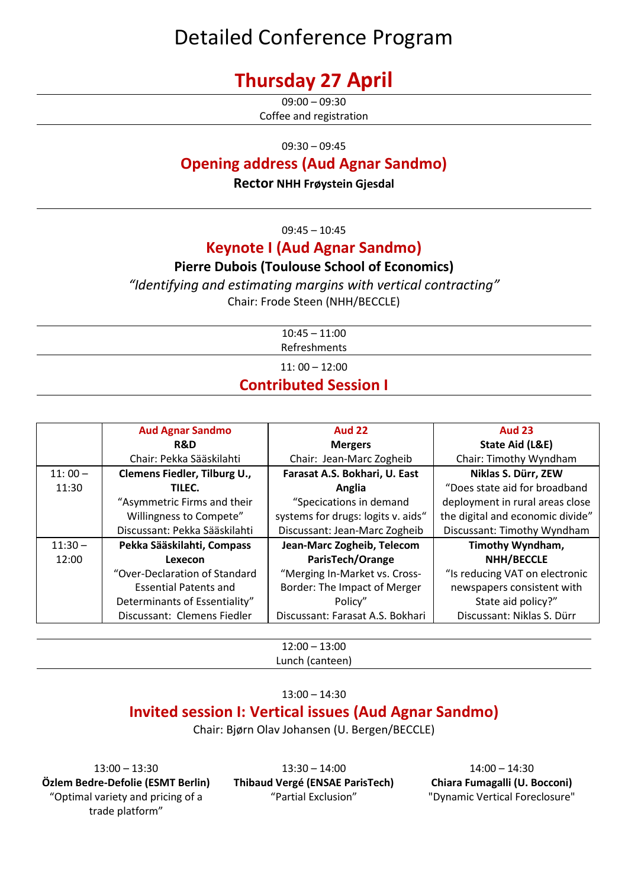## Detailed Conference Program

## **Thursday 27 April**

 $09:00 - 09:30$ Coffee and registration

09:30 – 09:45

#### **Opening address (Aud Agnar Sandmo)**

**Rector NHH Frøystein Gjesdal**

09:45 – 10:45

### **Keynote I (Aud Agnar Sandmo)**

#### **Pierre Dubois (Toulouse School of Economics)**

*"Identifying and estimating margins with vertical contracting"* Chair: Frode Steen (NHH/BECCLE)

| $10:45 - 11:00$              |  |
|------------------------------|--|
| Refreshments                 |  |
| $11:00 - 12:00$              |  |
| <b>Contributed Session I</b> |  |

|           | <b>Aud Agnar Sandmo</b>       | <b>Aud 22</b>                      | <b>Aud 23</b>                    |
|-----------|-------------------------------|------------------------------------|----------------------------------|
|           | <b>R&amp;D</b>                | <b>Mergers</b>                     | State Aid (L&E)                  |
|           | Chair: Pekka Sääskilahti      | Chair: Jean-Marc Zogheib           | Chair: Timothy Wyndham           |
| $11:00-$  | Clemens Fiedler, Tilburg U.,  | Farasat A.S. Bokhari, U. East      | Niklas S. Dürr, ZEW              |
| 11:30     | TILEC.                        | Anglia                             | "Does state aid for broadband    |
|           | "Asymmetric Firms and their   | "Specications in demand            | deployment in rural areas close  |
|           | Willingness to Compete"       | systems for drugs: logits v. aids" | the digital and economic divide" |
|           | Discussant: Pekka Sääskilahti | Discussant: Jean-Marc Zogheib      | Discussant: Timothy Wyndham      |
| $11:30 -$ | Pekka Sääskilahti, Compass    | Jean-Marc Zogheib, Telecom         | Timothy Wyndham,                 |
| 12:00     | Lexecon                       | ParisTech/Orange                   | NHH/BECCLE                       |
|           | "Over-Declaration of Standard | "Merging In-Market vs. Cross-      | "Is reducing VAT on electronic   |
|           | <b>Essential Patents and</b>  | Border: The Impact of Merger       | newspapers consistent with       |
|           | Determinants of Essentiality" | Policy"                            | State aid policy?"               |
|           | Discussant: Clemens Fiedler   | Discussant: Farasat A.S. Bokhari   | Discussant: Niklas S. Dürr       |

12:00 – 13:00 Lunch (canteen)

13:00 – 14:30

## **Invited session I: Vertical issues (Aud Agnar Sandmo)**

Chair: Bjørn Olav Johansen (U. Bergen/BECCLE)

13:00 – 13:30 **Özlem Bedre-Defolie (ESMT Berlin)** "Optimal variety and pricing of a trade platform"

13:30 – 14:00 **Thibaud Vergé (ENSAE ParisTech)** "Partial Exclusion"

14:00 – 14:30 **Chiara Fumagalli (U. Bocconi)** "Dynamic Vertical Foreclosure"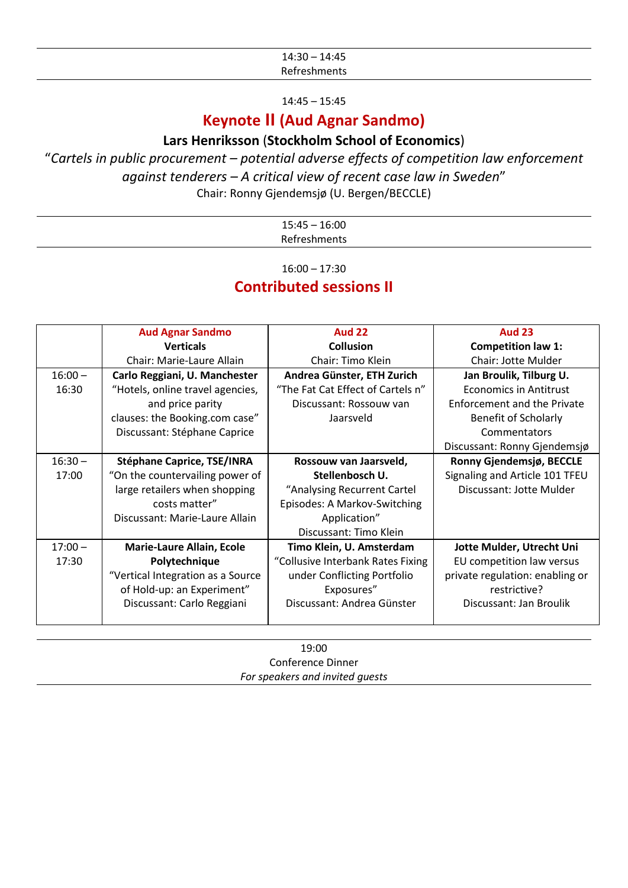| .<br>14::<br>. . 4 J<br>י<br>__ |  |
|---------------------------------|--|
|                                 |  |

14:45 – 15:45

### **Keynote II (Aud Agnar Sandmo)**

#### **Lars Henriksson** (**Stockholm School of Economics**)

#### "*Cartels in public procurement – potential adverse effects of competition law enforcement against tenderers – A critical view of recent case law in Sweden*" Chair: Ronny Gjendemsjø (U. Bergen/BECCLE)

| 16:00<br>$15:45 -$    |
|-----------------------|
| Refreshme<br>snments! |

16:00 – 17:30

#### **Contributed sessions II**

|           | <b>Aud Agnar Sandmo</b>           | <b>Aud 22</b>                     | <b>Aud 23</b>                   |
|-----------|-----------------------------------|-----------------------------------|---------------------------------|
|           | <b>Verticals</b>                  | <b>Collusion</b>                  | <b>Competition law 1:</b>       |
|           | Chair: Marie-Laure Allain         | Chair: Timo Klein                 | Chair: Jotte Mulder             |
| $16:00 -$ | Carlo Reggiani, U. Manchester     | Andrea Günster, ETH Zurich        | Jan Broulik, Tilburg U.         |
| 16:30     | "Hotels, online travel agencies,  | "The Fat Cat Effect of Cartels n" | <b>Economics in Antitrust</b>   |
|           | and price parity                  | Discussant: Rossouw van           | Enforcement and the Private     |
|           | clauses: the Booking.com case"    | Jaarsveld                         | Benefit of Scholarly            |
|           | Discussant: Stéphane Caprice      |                                   | Commentators                    |
|           |                                   |                                   | Discussant: Ronny Gjendemsjø    |
| $16:30 -$ | <b>Stéphane Caprice, TSE/INRA</b> | Rossouw van Jaarsveld,            | Ronny Gjendemsjø, BECCLE        |
| 17:00     | "On the countervailing power of   | Stellenbosch U.                   | Signaling and Article 101 TFEU  |
|           | large retailers when shopping     | "Analysing Recurrent Cartel       | Discussant: Jotte Mulder        |
|           | costs matter"                     | Episodes: A Markov-Switching      |                                 |
|           | Discussant: Marie-Laure Allain    | Application"                      |                                 |
|           |                                   | Discussant: Timo Klein            |                                 |
| $17:00 -$ | <b>Marie-Laure Allain, Ecole</b>  | Timo Klein, U. Amsterdam          | Jotte Mulder, Utrecht Uni       |
| 17:30     | Polytechnique                     | "Collusive Interbank Rates Fixing | EU competition law versus       |
|           | "Vertical Integration as a Source | under Conflicting Portfolio       | private regulation: enabling or |
|           | of Hold-up: an Experiment"        | Exposures"                        | restrictive?                    |
|           | Discussant: Carlo Reggiani        | Discussant: Andrea Günster        | Discussant: Jan Broulik         |
|           |                                   |                                   |                                 |

19:00 Conference Dinner *For speakers and invited guests*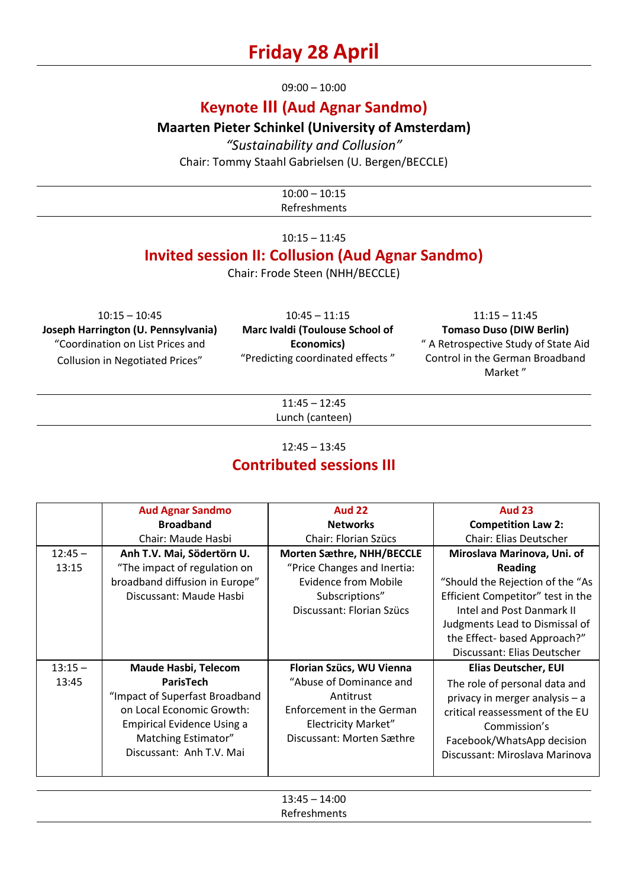## **Friday 28 April**

09:00 – 10:00

## **Keynote III (Aud Agnar Sandmo)**

**Maarten Pieter Schinkel (University of Amsterdam)**

*"Sustainability and Collusion"* Chair: Tommy Staahl Gabrielsen (U. Bergen/BECCLE)

> $10:00 - 10:15$ Refreshments

 $10:15 - 11:45$ 

### **Invited session II: Collusion (Aud Agnar Sandmo)**

Chair: Frode Steen (NHH/BECCLE)

10:15 – 10:45 **Joseph Harrington (U. Pennsylvania)** "Coordination on List Prices and Collusion in Negotiated Prices"

10:45 – 11:15 **Marc Ivaldi (Toulouse School of Economics)** "Predicting coordinated effects "

11:15 – 11:45 **Tomaso Duso (DIW Berlin)** " A Retrospective Study of State Aid Control in the German Broadband Market "

11:45 – 12:45 Lunch (canteen)

12:45 – 13:45

### **Contributed sessions III**

|           | <b>Aud Agnar Sandmo</b>           | <b>Aud 22</b>               | <b>Aud 23</b>                     |
|-----------|-----------------------------------|-----------------------------|-----------------------------------|
|           | <b>Broadband</b>                  | <b>Networks</b>             | <b>Competition Law 2:</b>         |
|           | Chair: Maude Hasbi                | Chair: Florian Szücs        | <b>Chair: Elias Deutscher</b>     |
| $12:45 -$ | Anh T.V. Mai, Södertörn U.        | Morten Sæthre, NHH/BECCLE   | Miroslava Marinova, Uni. of       |
| 13:15     | "The impact of regulation on      | "Price Changes and Inertia: | <b>Reading</b>                    |
|           | broadband diffusion in Europe"    | <b>Evidence from Mobile</b> | "Should the Rejection of the "As  |
|           | Discussant: Maude Hasbi           | Subscriptions"              | Efficient Competitor" test in the |
|           |                                   | Discussant: Florian Szücs   | Intel and Post Danmark II         |
|           |                                   |                             | Judgments Lead to Dismissal of    |
|           |                                   |                             | the Effect- based Approach?"      |
|           |                                   |                             | Discussant: Elias Deutscher       |
| $13:15 -$ | <b>Maude Hasbi, Telecom</b>       | Florian Szücs, WU Vienna    | <b>Elias Deutscher, EUI</b>       |
| 13:45     | ParisTech                         | "Abuse of Dominance and     | The role of personal data and     |
|           | "Impact of Superfast Broadband    | Antitrust                   | privacy in merger analysis - a    |
|           | on Local Economic Growth:         | Enforcement in the German   | critical reassessment of the EU   |
|           | <b>Empirical Evidence Using a</b> | <b>Electricity Market"</b>  | Commission's                      |
|           | Matching Estimator"               | Discussant: Morten Sæthre   | Facebook/WhatsApp decision        |
|           | Discussant: Anh T.V. Mai          |                             | Discussant: Miroslava Marinova    |
|           |                                   |                             |                                   |

13:45 – 14:00 Refreshments